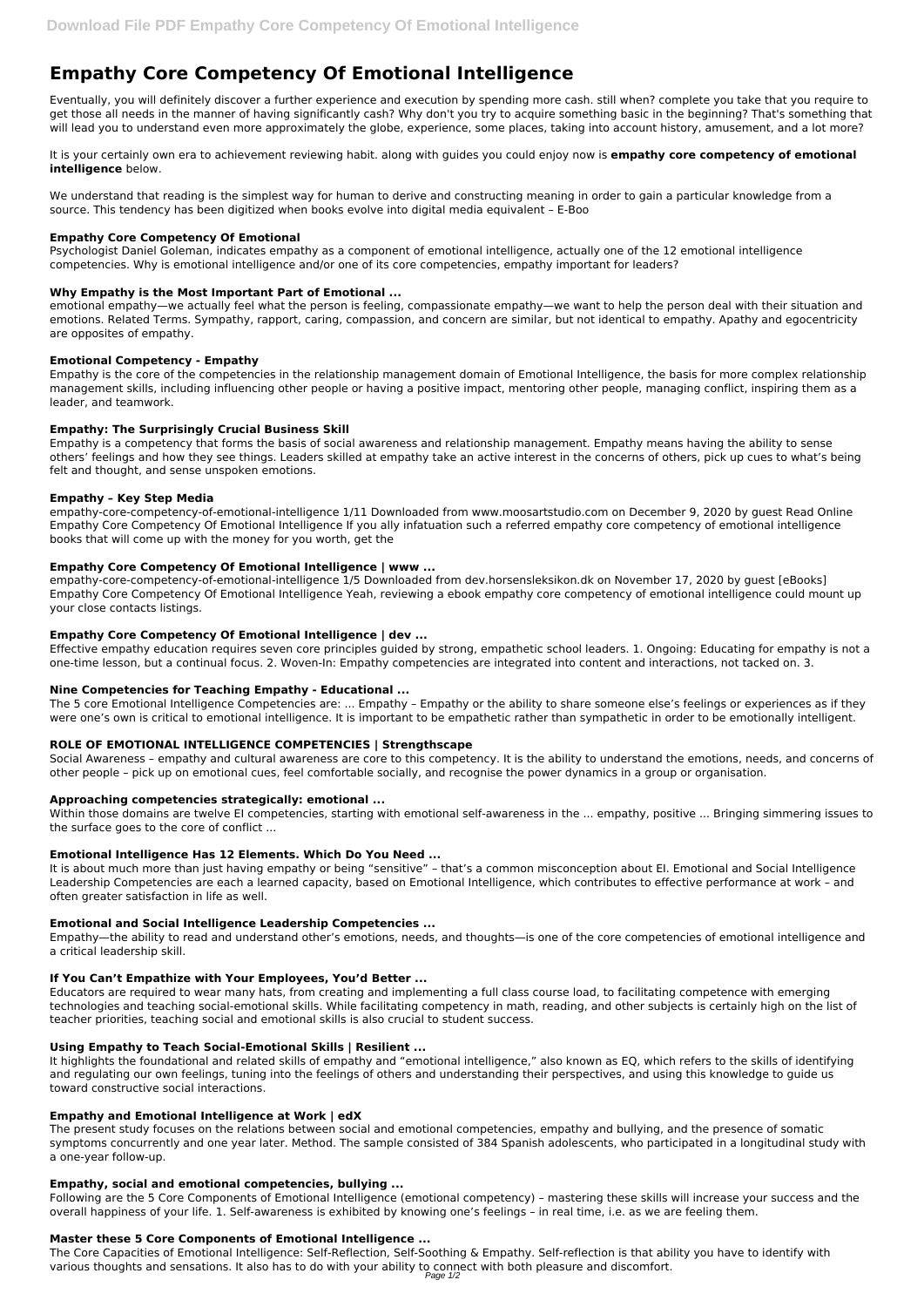Eventually, you will definitely discover a further experience and execution by spending more cash. still when? complete you take that you require to get those all needs in the manner of having significantly cash? Why don't you try to acquire something basic in the beginning? That's something that will lead you to understand even more approximately the globe, experience, some places, taking into account history, amusement, and a lot more?

# **Empathy Core Competency Of Emotional Intelligence**

It is your certainly own era to achievement reviewing habit. along with guides you could enjoy now is **empathy core competency of emotional intelligence** below.

We understand that reading is the simplest way for human to derive and constructing meaning in order to gain a particular knowledge from a source. This tendency has been digitized when books evolve into digital media equivalent – E-Boo

#### **Empathy Core Competency Of Emotional**

Psychologist Daniel Goleman, indicates empathy as a component of emotional intelligence, actually one of the 12 emotional intelligence competencies. Why is emotional intelligence and/or one of its core competencies, empathy important for leaders?

# **Why Empathy is the Most Important Part of Emotional ...**

emotional empathy—we actually feel what the person is feeling, compassionate empathy—we want to help the person deal with their situation and emotions. Related Terms. Sympathy, rapport, caring, compassion, and concern are similar, but not identical to empathy. Apathy and egocentricity are opposites of empathy.

# **Emotional Competency - Empathy**

Empathy is the core of the competencies in the relationship management domain of Emotional Intelligence, the basis for more complex relationship management skills, including influencing other people or having a positive impact, mentoring other people, managing conflict, inspiring them as a leader, and teamwork.

# **Empathy: The Surprisingly Crucial Business Skill**

Empathy is a competency that forms the basis of social awareness and relationship management. Empathy means having the ability to sense others' feelings and how they see things. Leaders skilled at empathy take an active interest in the concerns of others, pick up cues to what's being felt and thought, and sense unspoken emotions.

Within those domains are twelve EI competencies, starting with emotional self-awareness in the ... empathy, positive ... Bringing simmering issues to the surface goes to the core of conflict ...

#### **Empathy – Key Step Media**

empathy-core-competency-of-emotional-intelligence 1/11 Downloaded from www.moosartstudio.com on December 9, 2020 by guest Read Online Empathy Core Competency Of Emotional Intelligence If you ally infatuation such a referred empathy core competency of emotional intelligence books that will come up with the money for you worth, get the

#### **Empathy Core Competency Of Emotional Intelligence | www ...**

empathy-core-competency-of-emotional-intelligence 1/5 Downloaded from dev.horsensleksikon.dk on November 17, 2020 by guest [eBooks] Empathy Core Competency Of Emotional Intelligence Yeah, reviewing a ebook empathy core competency of emotional intelligence could mount up your close contacts listings.

#### **Empathy Core Competency Of Emotional Intelligence | dev ...**

Effective empathy education requires seven core principles guided by strong, empathetic school leaders. 1. Ongoing: Educating for empathy is not a one-time lesson, but a continual focus. 2. Woven-In: Empathy competencies are integrated into content and interactions, not tacked on. 3.

#### **Nine Competencies for Teaching Empathy - Educational ...**

The 5 core Emotional Intelligence Competencies are: ... Empathy – Empathy or the ability to share someone else's feelings or experiences as if they were one's own is critical to emotional intelligence. It is important to be empathetic rather than sympathetic in order to be emotionally intelligent.

#### **ROLE OF EMOTIONAL INTELLIGENCE COMPETENCIES | Strengthscape**

Social Awareness – empathy and cultural awareness are core to this competency. It is the ability to understand the emotions, needs, and concerns of other people – pick up on emotional cues, feel comfortable socially, and recognise the power dynamics in a group or organisation.

#### **Approaching competencies strategically: emotional ...**

#### **Emotional Intelligence Has 12 Elements. Which Do You Need ...**

It is about much more than just having empathy or being "sensitive" – that's a common misconception about EI. Emotional and Social Intelligence Leadership Competencies are each a learned capacity, based on Emotional Intelligence, which contributes to effective performance at work – and often greater satisfaction in life as well.

#### **Emotional and Social Intelligence Leadership Competencies ...**

Empathy—the ability to read and understand other's emotions, needs, and thoughts—is one of the core competencies of emotional intelligence and a critical leadership skill.

#### **If You Can't Empathize with Your Employees, You'd Better ...**

Educators are required to wear many hats, from creating and implementing a full class course load, to facilitating competence with emerging technologies and teaching social-emotional skills. While facilitating competency in math, reading, and other subjects is certainly high on the list of teacher priorities, teaching social and emotional skills is also crucial to student success.

#### **Using Empathy to Teach Social-Emotional Skills | Resilient ...**

It highlights the foundational and related skills of empathy and "emotional intelligence," also known as EQ, which refers to the skills of identifying and regulating our own feelings, tuning into the feelings of others and understanding their perspectives, and using this knowledge to guide us toward constructive social interactions.

#### **Empathy and Emotional Intelligence at Work | edX**

The present study focuses on the relations between social and emotional competencies, empathy and bullying, and the presence of somatic symptoms concurrently and one year later. Method. The sample consisted of 384 Spanish adolescents, who participated in a longitudinal study with a one-year follow-up.

#### **Empathy, social and emotional competencies, bullying ...**

Following are the 5 Core Components of Emotional Intelligence (emotional competency) – mastering these skills will increase your success and the overall happiness of your life. 1. Self-awareness is exhibited by knowing one's feelings – in real time, i.e. as we are feeling them.

#### **Master these 5 Core Components of Emotional Intelligence ...**

The Core Capacities of Emotional Intelligence: Self-Reflection, Self-Soothing & Empathy. Self-reflection is that ability you have to identify with various thoughts and sensations. It also has to do with your ability to connect with both pleasure and discomfort.